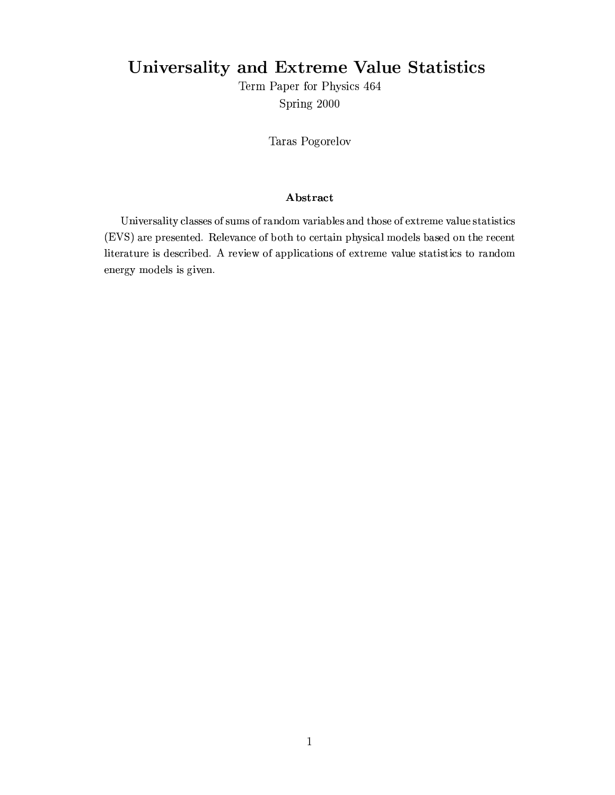# Universality and Extreme Value Statistics

Term Paper for Physics 464 Spring 2000

Taras Pogorelov

# Abstract

Universality classes of sums of random variables and those of extreme value statistics (EVS) are presented. Relevance of both to certain physical models based on the recent literature is described. A review of applications of extreme value statistics to random energy models is given.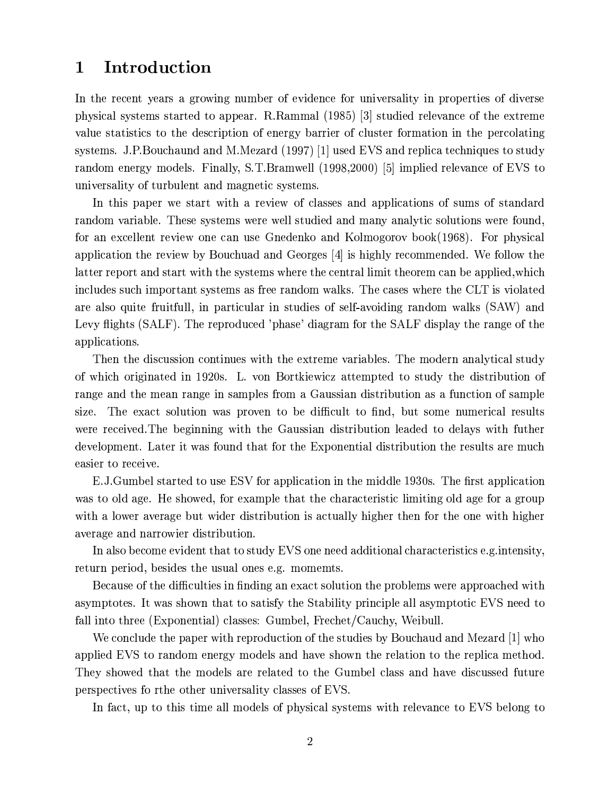# Introduction  $\mathbf{1}$

In the recent years a growing number of evidence for universality in properties of diverse physical systems started to appear. R.Rammal (1985) [3] studied relevance of the extreme value statistics to the description of energy barrier of cluster formation in the percolating systems. J.P.Bouchaund and M.Mezard (1997) [1] used EVS and replica techniques to study random energy models. Finally, S.T.Bramwell (1998,2000) [5] implied relevance of EVS to universality of turbulent and magnetic systems.

In this paper we start with a review of classes and applications of sums of standard random variable. These systems were well studied and many analytic solutions were found, for an excellent review one can use Gnedenko and Kolmogorov book(1968). For physical application the review by Bouchuad and Georges  $[4]$  is highly recommended. We follow the latter report and start with the systems where the central limit theorem can be applied, which includes such important systems as free random walks. The cases where the CLT is violated are also quite fruitfull, in particular in studies of self-avoiding random walks (SAW) and Levy flights (SALF). The reproduced 'phase' diagram for the SALF display the range of the applications.

Then the discussion continues with the extreme variables. The modern analytical study of which originated in 1920s. L. von Bortkiewicz attempted to study the distribution of range and the mean range in samples from a Gaussian distribution as a function of sample size. The exact solution was proven to be difficult to find, but some numerical results were received. The beginning with the Gaussian distribution leaded to delays with futher development. Later it was found that for the Exponential distribution the results are much easier to receive.

E.J. Gumbel started to use ESV for application in the middle 1930s. The first application was to old age. He showed, for example that the characteristic limiting old age for a group with a lower average but wider distribution is actually higher then for the one with higher average and narrowier distribution.

In also become evident that to study EVS one need additional characteristics e.g. intensity, return period, besides the usual ones e.g. momemts.

Because of the difficulties in finding an exact solution the problems were approached with asymptotes. It was shown that to satisfy the Stability principle all asymptotic EVS need to fall into three (Exponential) classes: Gumbel, Frechet/Cauchy, Weibull.

We conclude the paper with reproduction of the studies by Bouchaud and Mezard 1 who applied EVS to random energy models and have shown the relation to the replica method. They showed that the models are related to the Gumbel class and have discussed future perspectives fo rthe other universality classes of EVS.

In fact, up to this time all models of physical systems with relevance to EVS belong to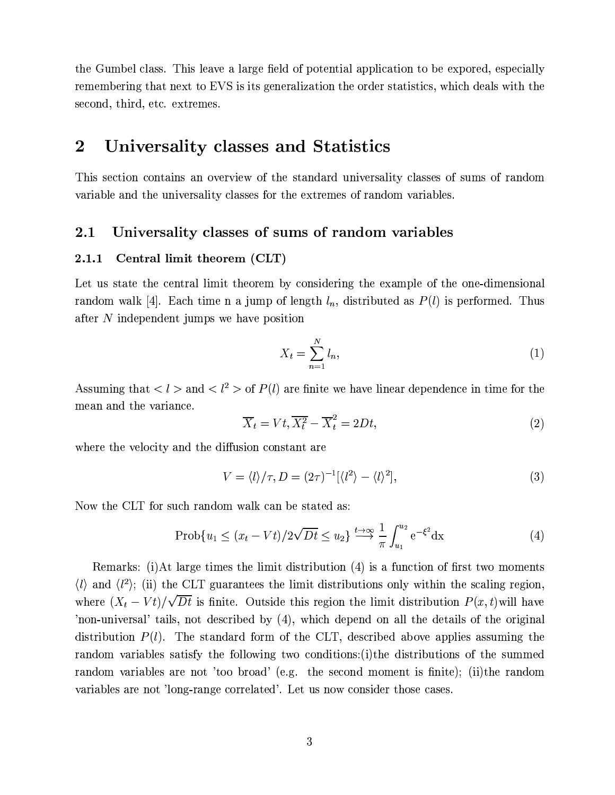the Gumbel class. This leave a large field of potential application to be expored, especially remembering that next to EVS is its generalization the order statistics, which deals with the second, third, etc. extremes.

## $\overline{2}$ Universality classes and Statistics

This section contains an overview of the standard universality classes of sums of random variable and the universality classes for the extremes of random variables.

#### Universality classes of sums of random variables  $\bf 2.1$

#### Central limit theorem (CLT)  $2.1.1$

Let us state the central limit theorem by considering the example of the one-dimensional random walk [4]. Each time n a jump of length  $l_n$ , distributed as  $P(l)$  is performed. Thus after  $N$  independent jumps we have position

$$
X_t = \sum_{n=1}^{N} l_n,\tag{1}
$$

Assuming that  $\langle l \rangle$  and  $\langle l^2 \rangle$  of  $P(l)$  are finite we have linear dependence in time for the mean and the variance.

$$
\overline{X}_t = Vt, \overline{X_t^2} - \overline{X}_t^2 = 2Dt,\tag{2}
$$

where the velocity and the diffusion constant are

$$
V = \langle l \rangle / \tau, D = (2\tau)^{-1} [\langle l^2 \rangle - \langle l \rangle^2], \tag{3}
$$

Now the CLT for such random walk can be stated as:

$$
\text{Prob}\{u_1 \le (x_t - Vt)/2\sqrt{Dt} \le u_2\} \stackrel{t \to \infty}{\longrightarrow} \frac{1}{\pi} \int_{u_1}^{u_2} e^{-\xi^2} dx \tag{4}
$$

Remarks: (i) At large times the limit distribution (4) is a function of first two moments  $\langle l \rangle$  and  $\langle l^2 \rangle$ ; (ii) the CLT guarantees the limit distributions only within the scaling region, where  $(X_t - V_t)/\sqrt{Dt}$  is finite. Outside this region the limit distribution  $P(x, t)$  will have 'non-universal' tails, not described by (4), which depend on all the details of the original distribution  $P(l)$ . The standard form of the CLT, described above applies assuming the random variables satisfy the following two conditions: (i) the distributions of the summed random variables are not 'too broad' (e.g. the second moment is finite); (ii) the random variables are not 'long-range correlated'. Let us now consider those cases.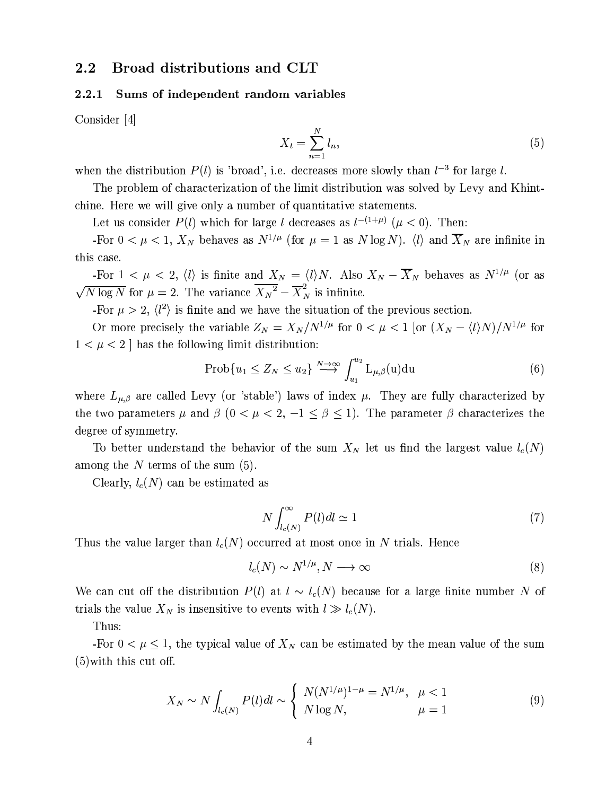#### $2.2$ Broad distributions and CLT

#### $2.2.1$ Sums of independent random variables

Consider [4]

$$
X_t = \sum_{n=1}^{N} l_n,\tag{5}
$$

when the distribution  $P(l)$  is 'broad', i.e. decreases more slowly than  $l^{-3}$  for large l.

The problem of characterization of the limit distribution was solved by Levy and Khintchine. Here we will give only a number of quantitative statements.

Let us consider  $P(l)$  which for large l decreases as  $l^{-(1+\mu)}$  ( $\mu < 0$ ). Then:

For  $0 < \mu < 1$ ,  $X_N$  behaves as  $N^{1/\mu}$  (for  $\mu = 1$  as N log N). (b) and  $\overline{X}_N$  are infinite in this case.

-For  $1 \langle \mu \langle 2, \langle l \rangle \rangle$  is finite and  $X_N = \langle l \rangle N$ . Also  $X_N - \overline{X}_N$  behaves as  $N^{1/\mu}$  (or as  $\sqrt{N \log N}$  for  $\mu = 2$ . The variance  $\overline{X_N^2} - \overline{X}_N^2$  is infinite.

-For  $\mu > 2$ ,  $\langle l^2 \rangle$  is finite and we have the situation of the previous section.

Or more precisely the variable  $Z_N = X_N/N^{1/\mu}$  for  $0 < \mu < 1$  [or  $(X_N - \langle l \rangle N)/N^{1/\mu}$  for  $1 < \mu < 2$  has the following limit distribution:

$$
\text{Prob}\{u_1 \le Z_N \le u_2\} \stackrel{N \to \infty}{\longrightarrow} \int_{u_1}^{u_2} \mathcal{L}_{\mu,\beta}(u) du \tag{6}
$$

where  $L_{\mu,\beta}$  are called Levy (or 'stable') laws of index  $\mu$ . They are fully characterized by the two parameters  $\mu$  and  $\beta$  (0 <  $\mu$  < 2, -1  $\leq \beta \leq$  1). The parameter  $\beta$  characterizes the degree of symmetry.

To better understand the behavior of the sum  $X_N$  let us find the largest value  $l_c(N)$ among the N terms of the sum  $(5)$ .

Clearly,  $l_c(N)$  can be estimated as

$$
N \int_{l_c(N)}^{\infty} P(l)dl \simeq 1 \tag{7}
$$

Thus the value larger than  $l_c(N)$  occurred at most once in N trials. Hence

$$
l_c(N) \sim N^{1/\mu}, N \longrightarrow \infty \tag{8}
$$

We can cut off the distribution  $P(l)$  at  $l \sim l_c(N)$  because for a large finite number N of trials the value  $X_N$  is insensitive to events with  $l \gg l_c(N)$ .

Thus:

-For  $0 < \mu \leq 1$ , the typical value of  $X_N$  can be estimated by the mean value of the sum  $(5)$  with this cut off.

$$
X_N \sim N \int_{l_c(N)} P(l) dl \sim \begin{cases} N(N^{1/\mu})^{1-\mu} = N^{1/\mu}, & \mu < 1\\ N \log N, & \mu = 1 \end{cases}
$$
 (9)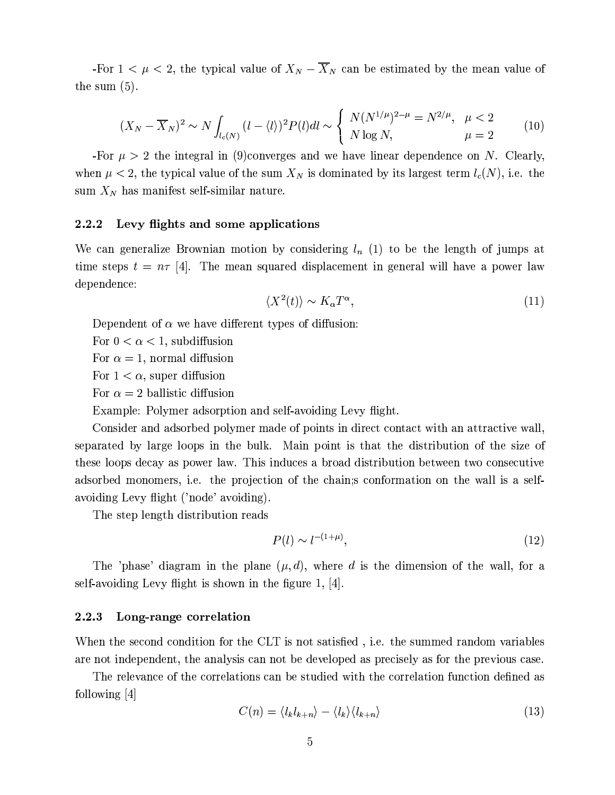-For  $1 < \mu < 2$ , the typical value of  $X_N - \overline{X}_N$  can be estimated by the mean value of the sum  $(5)$ .

$$
(X_N - \overline{X}_N)^2 \sim N \int_{l_c(N)} (l - \langle l \rangle)^2 P(l) dl \sim \begin{cases} N(N^{1/\mu})^{2-\mu} = N^{2/\mu}, & \mu < 2\\ N \log N, & \mu = 2 \end{cases}
$$
(10)

-For  $\mu > 2$  the integral in (9) converges and we have linear dependence on N. Clearly, when  $\mu < 2$ , the typical value of the sum  $X_N$  is dominated by its largest term  $l_c(N)$ , i.e. the sum  $X_N$  has manifest self-similar nature.

#### $2.2.2$ Levy flights and some applications

We can generalize Brownian motion by considering  $l_n$  (1) to be the length of jumps at time steps  $t = n\tau$  [4]. The mean squared displacement in general will have a power law dependence:

$$
\langle X^2(t) \rangle \sim K_\alpha T^\alpha, \tag{11}
$$

Dependent of  $\alpha$  we have different types of diffusion:

For  $0 < \alpha < 1$ , subdiffusion

For  $\alpha = 1$ , normal diffusion

For  $1 < \alpha$ , super diffusion

For  $\alpha = 2$  ballistic diffusion

Example: Polymer adsorption and self-avoiding Levy flight.

Consider and adsorbed polymer made of points in direct contact with an attractive wall. separated by large loops in the bulk. Main point is that the distribution of the size of these loops decay as power law. This induces a broad distribution between two consecutive adsorbed monomers, i.e. the projection of the chain; sconformation on the wall is a selfavoiding Levy flight ('node' avoiding).

The step length distribution reads

$$
P(l) \sim l^{-(1+\mu)},\tag{12}
$$

The 'phase' diagram in the plane  $(\mu, d)$ , where d is the dimension of the wall, for a self-avoiding Levy flight is shown in the figure  $1, 4$ .

#### $2.2.3$ Long-range correlation

When the second condition for the CLT is not satisfied, i.e. the summed random variables are not independent, the analysis can not be developed as precisely as for the previous case.

The relevance of the correlations can be studied with the correlation function defined as following  $[4]$ 

$$
C(n) = \langle l_k l_{k+n} \rangle - \langle l_k \rangle \langle l_{k+n} \rangle \tag{13}
$$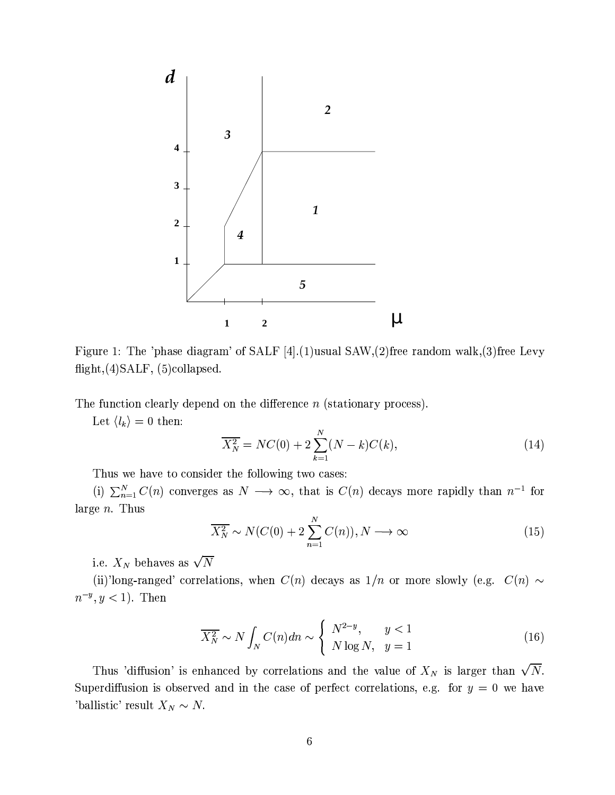

Figure 1: The 'phase diagram' of SALF [4].(1) usual SAW,(2) free random walk, (3) free Levy flight,  $(4)$ SALF,  $(5)$ collapsed.

The function clearly depend on the difference  $n$  (stationary process).

Let  $\langle l_k \rangle = 0$  then:

$$
\overline{X_N^2} = NC(0) + 2\sum_{k=1}^N (N-k)C(k),\tag{14}
$$

Thus we have to consider the following two cases:

(i)  $\sum_{n=1}^{N} C(n)$  converges as  $N \longrightarrow \infty$ , that is  $C(n)$  decays more rapidly than  $n^{-1}$  for large  $n$ . Thus

$$
\overline{X_N^2} \sim N(C(0) + 2\sum_{n=1}^N C(n)), N \longrightarrow \infty
$$
\n(15)

i.e.  $X_N$  behaves as  $\sqrt{N}$ 

(ii)'long-ranged' correlations, when  $C(n)$  decays as  $1/n$  or more slowly (e.g.  $C(n) \sim$  $n^{-y}, y < 1$ ). Then

$$
\overline{X_N^2} \sim N \int_N C(n) dn \sim \begin{cases} N^{2-y}, & y < 1\\ N \log N, & y = 1 \end{cases}
$$
\n(16)

Thus 'diffusion' is enhanced by correlations and the value of  $X_N$  is larger than  $\sqrt{N}$ . Superdiffusion is observed and in the case of perfect correlations, e.g. for  $y = 0$  we have 'ballistic' result  $X_N \sim N$ .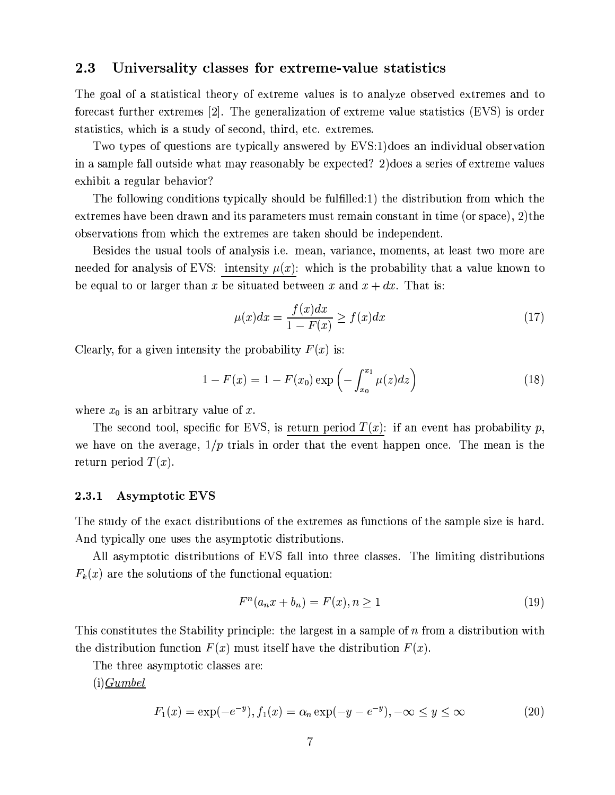#### $2.3$ Universality classes for extreme-value statistics

The goal of a statistical theory of extreme values is to analyze observed extremes and to forecast further extremes [2]. The generalization of extreme value statistics (EVS) is order statistics, which is a study of second, third, etc. extremes.

Two types of questions are typically answered by EVS:1) does an individual observation in a sample fall outside what may reasonably be expected? 2) does a series of extreme values exhibit a regular behavior?

The following conditions typically should be fulfilled:1) the distribution from which the extremes have been drawn and its parameters must remain constant in time (or space), 2) the observations from which the extremes are taken should be independent.

Besides the usual tools of analysis i.e. mean, variance, moments, at least two more are needed for analysis of EVS: intensity  $\mu(x)$ : which is the probability that a value known to be equal to or larger than x be situated between x and  $x + dx$ . That is:

$$
\mu(x)dx = \frac{f(x)dx}{1 - F(x)} \ge f(x)dx
$$
\n(17)

Clearly, for a given intensity the probability  $F(x)$  is:

$$
1 - F(x) = 1 - F(x_0) \exp\left(-\int_{x_0}^{x_1} \mu(z) dz\right)
$$
 (18)

where  $x_0$  is an arbitrary value of x.

The second tool, specific for EVS, is return period  $T(x)$ : if an event has probability p, we have on the average,  $1/p$  trials in order that the event happen once. The mean is the return period  $T(x)$ .

#### **Asymptotic EVS**  $2.3.1$

The study of the exact distributions of the extremes as functions of the sample size is hard. And typically one uses the asymptotic distributions.

All asymptotic distributions of EVS fall into three classes. The limiting distributions  $F_k(x)$  are the solutions of the functional equation:

$$
F^n(a_n x + b_n) = F(x), n \ge 1
$$
\n<sup>(19)</sup>

This constitutes the Stability principle: the largest in a sample of n from a distribution with the distribution function  $F(x)$  must itself have the distribution  $F(x)$ .

The three asymptotic classes are:

 $(i) Gumbel$ 

$$
F_1(x) = \exp(-e^{-y}), f_1(x) = \alpha_n \exp(-y - e^{-y}), -\infty \le y \le \infty
$$
 (20)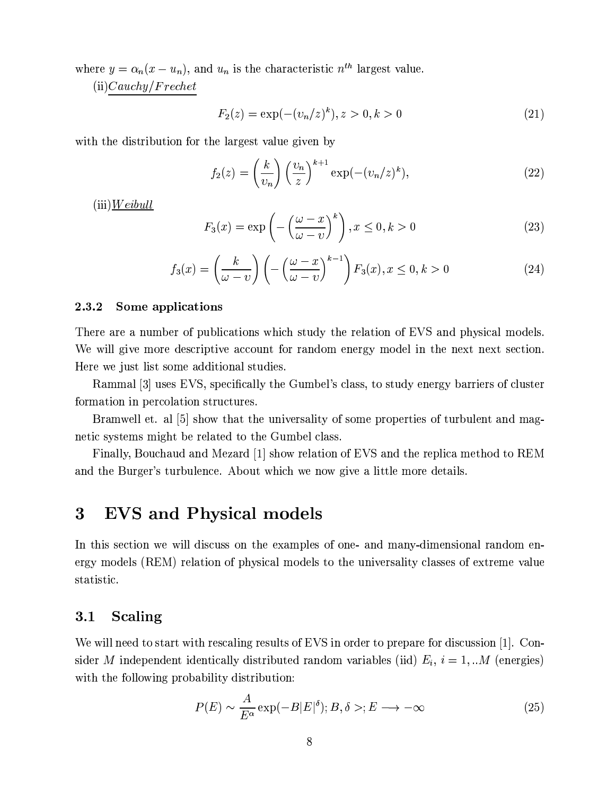where  $y = \alpha_n(x - u_n)$ , and  $u_n$  is the characteristic  $n^{th}$  largest value.

 $(ii) Cauchy/Frechet$ 

$$
F_2(z) = \exp(-(v_n/z)^k), z > 0, k > 0
$$
\n(21)

with the distribution for the largest value given by

$$
f_2(z) = \left(\frac{k}{v_n}\right) \left(\frac{v_n}{z}\right)^{k+1} \exp(-(v_n/z)^k),\tag{22}
$$

 $(iii) Weibull$ 

$$
F_3(x) = \exp\left(-\left(\frac{\omega - x}{\omega - v}\right)^k\right), x \le 0, k > 0
$$
\n<sup>(23)</sup>

$$
f_3(x) = \left(\frac{k}{\omega - v}\right) \left(-\left(\frac{\omega - x}{\omega - v}\right)^{k-1}\right) F_3(x), x \le 0, k > 0 \tag{24}
$$

#### 2.3.2 Some applications

There are a number of publications which study the relation of EVS and physical models. We will give more descriptive account for random energy model in the next next section. Here we just list some additional studies.

Rammal 3 uses EVS, specifically the Gumbel's class, to study energy barriers of cluster formation in percolation structures.

Bramwell et. al [5] show that the universality of some properties of turbulent and magnetic systems might be related to the Gumbel class.

Finally, Bouchaud and Mezard [1] show relation of EVS and the replica method to REM and the Burger's turbulence. About which we now give a little more details.

## $\bf{3}$ **EVS** and Physical models

In this section we will discuss on the examples of one- and many-dimensional random energy models (REM) relation of physical models to the universality classes of extreme value statistic.

#### $3.1$ Scaling

We will need to start with rescaling results of EVS in order to prepare for discussion [1]. Consider M independent identically distributed random variables (iid)  $E_i$ ,  $i = 1, ...M$  (energies) with the following probability distribution:

$$
P(E) \sim \frac{A}{E^{\alpha}} \exp(-B|E|^{\delta}); B, \delta >; E \longrightarrow -\infty
$$
 (25)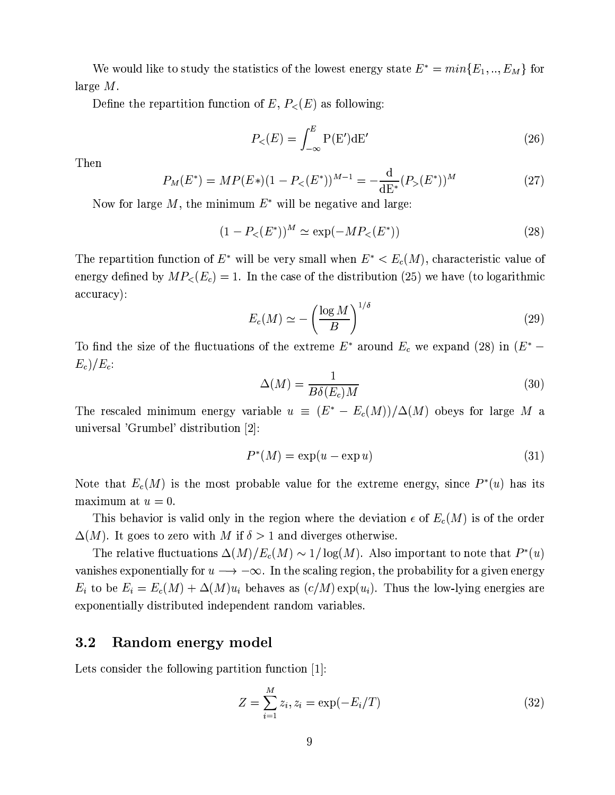We would like to study the statistics of the lowest energy state  $E^* = min\{E_1,..,E_M\}$  for large  $M$ .

Define the repartition function of E,  $P_<(E)$  as following:

$$
P_{<}(E) = \int_{-\infty}^{E} P(E') dE'
$$
\n(26)

Then

$$
P_M(E^*) = MP(E*) (1 - P_<(E^*))^{M-1} = -\frac{\mathrm{d}}{\mathrm{d}E^*} (P_>(E^*))^M \tag{27}
$$

Now for large  $M$ , the minimum  $E^*$  will be negative and large:

$$
(1 - P_{\leq}(E^*))^M \simeq \exp(-MP_{\leq}(E^*)) \tag{28}
$$

The repartition function of  $E^*$  will be very small when  $E^* < E_c(M)$ , characteristic value of energy defined by  $MP_{\leq}(E_c) = 1$ . In the case of the distribution (25) we have (to logarithmic accuracy):

$$
E_c(M) \simeq -\left(\frac{\log M}{B}\right)^{1/\delta} \tag{29}
$$

To find the size of the fluctuations of the extreme  $E^*$  around  $E_c$  we expand (28) in  $(E^* E_c)/E_c$ 

$$
\Delta(M) = \frac{1}{B\delta(E_c)M} \tag{30}
$$

The rescaled minimum energy variable  $u \equiv (E^* - E_c(M))/\Delta(M)$  obeys for large M a universal 'Grumbel' distribution [2]:

$$
P^*(M) = \exp(u - \exp u) \tag{31}
$$

Note that  $E_c(M)$  is the most probable value for the extreme energy, since  $P^*(u)$  has its maximum at  $u=0$ .

This behavior is valid only in the region where the deviation  $\epsilon$  of  $E_c(M)$  is of the order  $\Delta(M)$ . It goes to zero with M if  $\delta > 1$  and diverges otherwise.

The relative fluctuations  $\Delta(M)/E_c(M) \sim 1/\log(M)$ . Also important to note that  $P^*(u)$ vanishes exponentially for  $u \rightarrow -\infty$ . In the scaling region, the probability for a given energy  $E_i$  to be  $E_i = E_c(M) + \Delta(M)u_i$  behaves as  $(c/M) \exp(u_i)$ . Thus the low-lying energies are exponentially distributed independent random variables.

### Random energy model  $3.2$

Lets consider the following partition function  $[1]$ :

$$
Z = \sum_{i=1}^{M} z_i, z_i = \exp(-E_i/T)
$$
\n(32)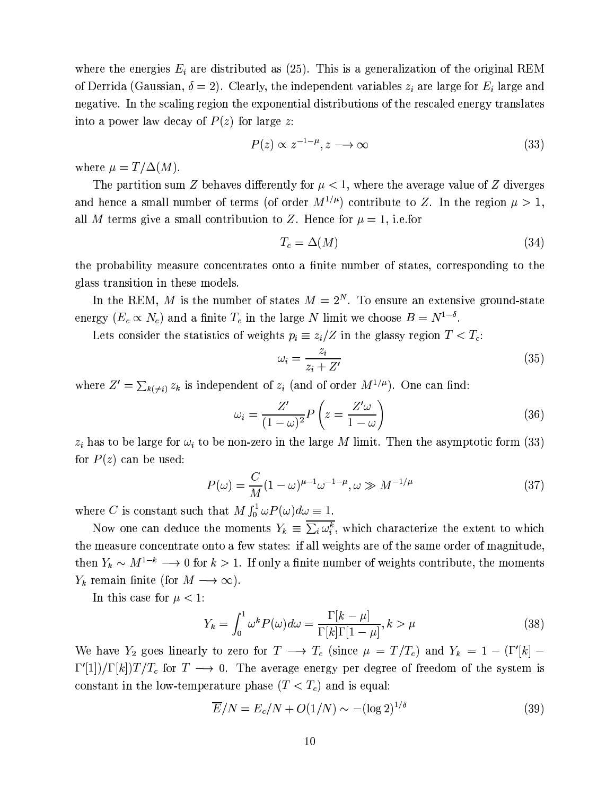where the energies  $E_i$  are distributed as (25). This is a generalization of the original REM of Derrida (Gaussian,  $\delta = 2$ ). Clearly, the independent variables  $z_i$  are large for  $E_i$  large and negative. In the scaling region the exponential distributions of the rescaled energy translates into a power law decay of  $P(z)$  for large z:

$$
P(z) \propto z^{-1-\mu}, z \longrightarrow \infty \tag{33}
$$

where  $\mu = T/\Delta(M)$ .

The partition sum Z behaves differently for  $\mu < 1$ , where the average value of Z diverges and hence a small number of terms (of order  $M^{1/\mu}$ ) contribute to Z. In the region  $\mu > 1$ , all M terms give a small contribution to Z. Hence for  $\mu = 1$ , i.e.for

$$
T_c = \Delta(M) \tag{34}
$$

the probability measure concentrates onto a finite number of states, corresponding to the glass transition in these models.

In the REM, M is the number of states  $M = 2^N$ . To ensure an extensive ground-state energy  $(E_c \propto N_c)$  and a finite  $T_c$  in the large N limit we choose  $B = N^{1-\delta}$ .

Lets consider the statistics of weights  $p_i \equiv z_i/Z$  in the glassy region  $T < T_c$ .

$$
\omega_i = \frac{z_i}{z_i + Z'}\tag{35}
$$

where  $Z' = \sum_{k \in \mathcal{N}} z_k$  is independent of  $z_i$  (and of order  $M^{1/\mu}$ ). One can find:

$$
\omega_i = \frac{Z'}{(1-\omega)^2} P\left(z = \frac{Z'\omega}{1-\omega}\right)
$$
\n(36)

 $z_i$  has to be large for  $\omega_i$  to be non-zero in the large M limit. Then the asymptotic form (33) for  $P(z)$  can be used:

$$
P(\omega) = \frac{C}{M} (1 - \omega)^{\mu - 1} \omega^{-1 - \mu}, \omega \gg M^{-1/\mu}
$$
 (37)

where C is constant such that  $M \int_0^1 \omega P(\omega) d\omega \equiv 1$ .

Now one can deduce the moments  $Y_k \equiv \sum_i \omega_i^k$ , which characterize the extent to which the measure concentrate onto a few states: if all weights are of the same order of magnitude, then  $Y_k \sim M^{1-k} \longrightarrow 0$  for  $k > 1$ . If only a finite number of weights contribute, the moments  $Y_k$  remain finite (for  $M \longrightarrow \infty$ ).

In this case for  $\mu < 1$ :

$$
Y_k = \int_0^1 \omega^k P(\omega) d\omega = \frac{\Gamma[k - \mu]}{\Gamma[k] \Gamma[1 - \mu]}, k > \mu
$$
\n(38)

We have  $Y_2$  goes linearly to zero for  $T \longrightarrow T_c$  (since  $\mu = T/T_c$ ) and  $Y_k = 1 - (\Gamma'[k]) \Gamma'[1]/\Gamma[k]/T/T_c$  for  $T \longrightarrow 0$ . The average energy per degree of freedom of the system is constant in the low-temperature phase  $(T < T_c)$  and is equal:

$$
\overline{E}/N = E_c/N + O(1/N) \sim -(\log 2)^{1/\delta} \tag{39}
$$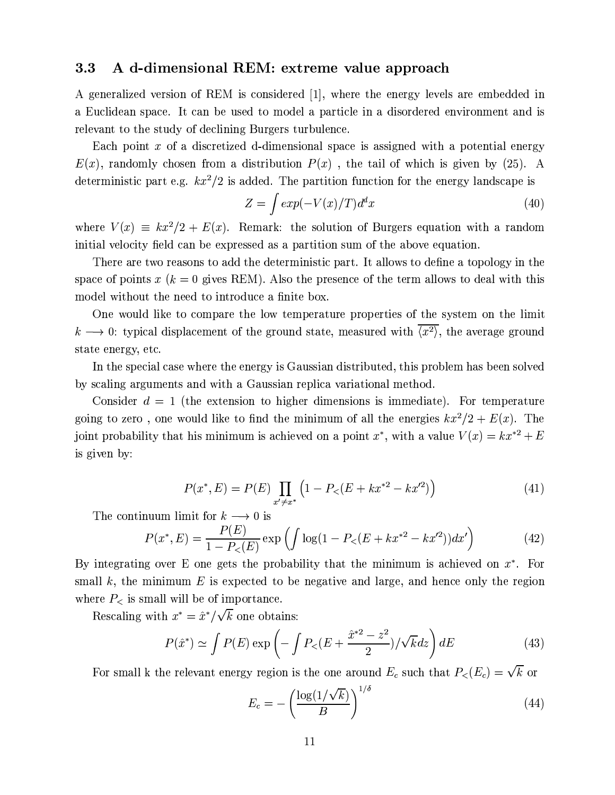#### A d-dimensional REM: extreme value approach  $3.3$

A generalized version of REM is considered [1], where the energy levels are embedded in a Euclidean space. It can be used to model a particle in a disordered environment and is relevant to the study of declining Burgers turbulence.

Each point x of a discretized d-dimensional space is assigned with a potential energy  $E(x)$ , randomly chosen from a distribution  $P(x)$ , the tail of which is given by (25). A deterministic part e.g.  $kx^2/2$  is added. The partition function for the energy landscape is

$$
Z = \int exp(-V(x)/T) d^d x \tag{40}
$$

where  $V(x) \equiv kx^2/2 + E(x)$ . Remark: the solution of Burgers equation with a random initial velocity field can be expressed as a partition sum of the above equation.

There are two reasons to add the deterministic part. It allows to define a topology in the space of points  $x (k = 0$  gives REM). Also the presence of the term allows to deal with this model without the need to introduce a finite box.

One would like to compare the low temperature properties of the system on the limit  $k \longrightarrow 0$ : typical displacement of the ground state, measured with  $\langle x^2 \rangle$ , the average ground state energy, etc.

In the special case where the energy is Gaussian distributed, this problem has been solved by scaling arguments and with a Gaussian replica variational method.

Consider  $d = 1$  (the extension to higher dimensions is immediate). For temperature going to zero, one would like to find the minimum of all the energies  $kx^2/2 + E(x)$ . The joint probability that his minimum is achieved on a point  $x^*$ , with a value  $V(x) = kx^{*2} + E$ is given by:

$$
P(x^*, E) = P(E) \prod_{x' \neq x^*} \left( 1 - P_{\leq}(E + kx^{*2} - kx^{2}) \right)
$$
 (41)

The continuum limit for  $k \longrightarrow 0$  is

$$
P(x^*, E) = \frac{P(E)}{1 - P_{<}(E)} \exp\left(\int \log(1 - P_{<}(E + kx^{*2} - kx'^2))dx'\right) \tag{42}
$$

By integrating over E one gets the probability that the minimum is achieved on  $x^*$ . For small  $k$ , the minimum  $E$  is expected to be negative and large, and hence only the region where  $P_{\leq}$  is small will be of importance.

Rescaling with  $x^* = \hat{x}^*/\sqrt{k}$  one obtains:

$$
P(\hat{x}^*) \simeq \int P(E) \exp\left(-\int P_{\leq}(E + \frac{\hat{x}^{*2} - z^2}{2})/\sqrt{k} dz\right) dE \tag{43}
$$

For small k the relevant energy region is the one around  $E_c$  such that  $P_c(E_c) = \sqrt{k}$  or

$$
E_c = -\left(\frac{\log(1/\sqrt{k})}{B}\right)^{1/\delta} \tag{44}
$$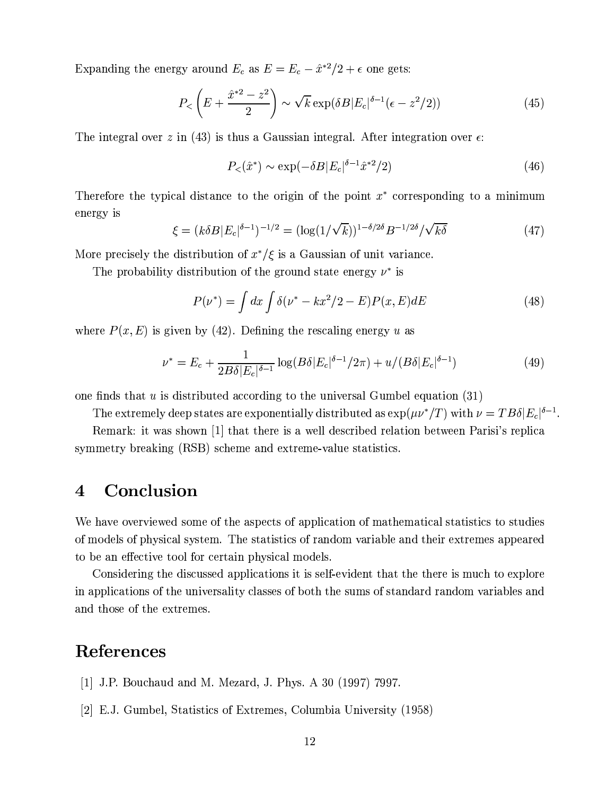Expanding the energy around  $E_c$  as  $E = E_c - \hat{x}^{*2}/2 + \epsilon$  one gets:

$$
P_{<} \left( E + \frac{\hat{x}^{*2} - z^2}{2} \right) \sim \sqrt{k} \exp(\delta B |E_c|^{\delta - 1} (\epsilon - z^2 / 2)) \tag{45}
$$

The integral over z in (43) is thus a Gaussian integral. After integration over  $\epsilon$ :

$$
P_{<}(x^*) \sim \exp(-\delta B |E_c|^{\delta - 1} \hat{x}^{*2} / 2) \tag{46}
$$

Therefore the typical distance to the origin of the point  $x^*$  corresponding to a minimum energy is

$$
\xi = (k \delta B |E_c|^{\delta - 1})^{-1/2} = (\log(1/\sqrt{k}))^{1 - \delta/2\delta} B^{-1/2\delta} / \sqrt{k\delta}
$$
(47)

More precisely the distribution of  $x^*/\xi$  is a Gaussian of unit variance.

The probability distribution of the ground state energy  $\nu^*$  is

$$
P(\nu^*) = \int dx \int \delta(\nu^* - kx^2/2 - E) P(x, E) dE
$$
 (48)

where  $P(x, E)$  is given by (42). Defining the rescaling energy u as

$$
\nu^* = E_c + \frac{1}{2B\delta|E_c|^{\delta - 1}}\log(B\delta|E_c|^{\delta - 1}/2\pi) + u/(B\delta|E_c|^{\delta - 1})\tag{49}
$$

one finds that  $u$  is distributed according to the universal Gumbel equation (31)

The extremely deep states are exponentially distributed as  $\exp(\mu \nu^*/T)$  with  $\nu = TB\delta |E_c|^{\delta-1}$ .

Remark: it was shown [1] that there is a well described relation between Parisi's replica symmetry breaking (RSB) scheme and extreme-value statistics.

# Conclusion  $\boldsymbol{4}$

We have overviewed some of the aspects of application of mathematical statistics to studies of models of physical system. The statistics of random variable and their extremes appeared to be an effective tool for certain physical models.

Considering the discussed applications it is self-evident that the there is much to explore in applications of the universality classes of both the sums of standard random variables and and those of the extremes.

# References

- [1] J.P. Bouchaud and M. Mezard, J. Phys. A  $30$  (1997) 7997.
- [2] E.J. Gumbel, Statistics of Extremes, Columbia University (1958)